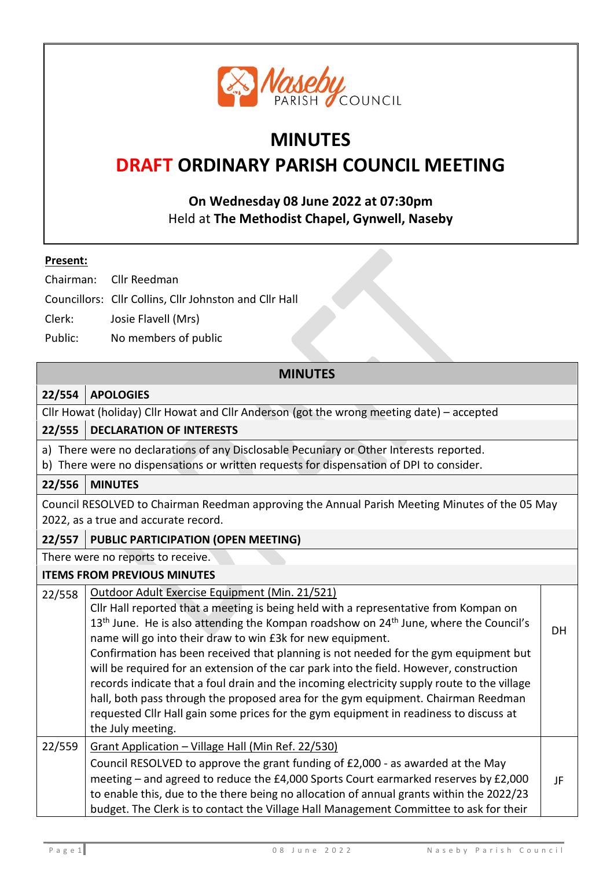

# **MINUTES**

# **DRAFT ORDINARY PARISH COUNCIL MEETING**

**On Wednesday 08 June 2022 at 07:30pm** Held at **The Methodist Chapel, Gynwell, Naseby** 

#### **Present:**

Chairman: Cllr Reedman

- Councillors: Cllr Collins, Cllr Johnston and Cllr Hall
- Clerk: Josie Flavell (Mrs)
- Public: No members of public

# **MINUTES**

#### **22/554 APOLOGIES**

Cllr Howat (holiday) Cllr Howat and Cllr Anderson (got the wrong meeting date) – accepted

# **22/555 DECLARATION OF INTERESTS**

a) There were no declarations of any Disclosable Pecuniary or Other Interests reported.

b) There were no dispensations or written requests for dispensation of DPI to consider.

# **22/556 MINUTES**

Council RESOLVED to Chairman Reedman approving the Annual Parish Meeting Minutes of the 05 May 2022, as a true and accurate record.

# **22/557 PUBLIC PARTICIPATION (OPEN MEETING)**

There were no reports to receive.

#### **ITEMS FROM PREVIOUS MINUTES**

22/558 | Outdoor Adult Exercise Equipment (Min. 21/521) Cllr Hall reported that a meeting is being held with a representative from Kompan on  $13<sup>th</sup>$  June. He is also attending the Kompan roadshow on  $24<sup>th</sup>$  June, where the Council's name will go into their draw to win £3k for new equipment. Confirmation has been received that planning is not needed for the gym equipment but will be required for an extension of the car park into the field. However, construction records indicate that a foul drain and the incoming electricity supply route to the village hall, both pass through the proposed area for the gym equipment. Chairman Reedman requested Cllr Hall gain some prices for the gym equipment in readiness to discuss at the July meeting. **DH** 22/559  $\int$  Grant Application – Village Hall (Min Ref. 22/530) Council RESOLVED to approve the grant funding of £2,000 - as awarded at the May meeting – and agreed to reduce the £4,000 Sports Court earmarked reserves by £2,000 to enable this, due to the there being no allocation of annual grants within the 2022/23 budget. The Clerk is to contact the Village Hall Management Committee to ask for their JF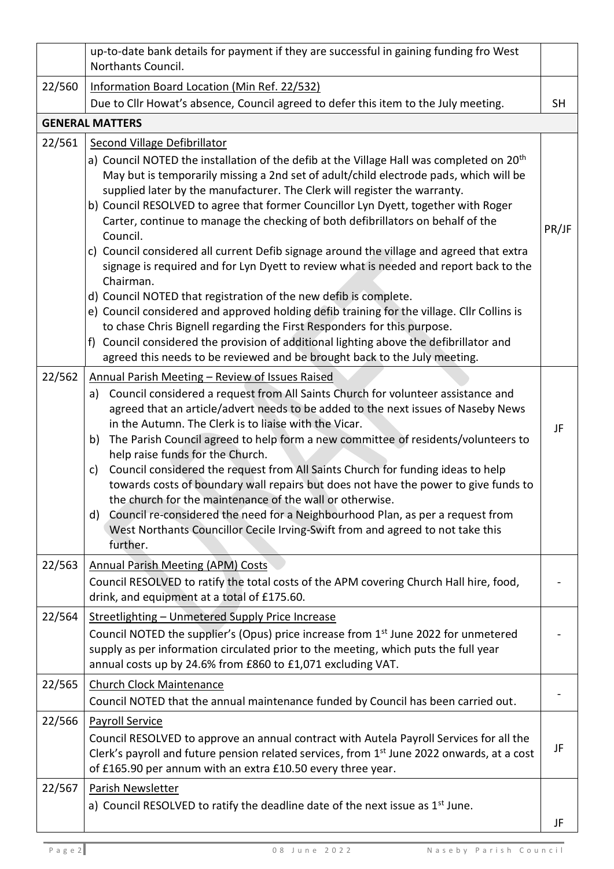|        | up-to-date bank details for payment if they are successful in gaining funding fro West<br>Northants Council.                                                                                                                                                                                                                                                                                                                                                                                                                                                                                                                                                                                                                                                                                                                                                                                                                                                                                                                                                                                                                 |           |
|--------|------------------------------------------------------------------------------------------------------------------------------------------------------------------------------------------------------------------------------------------------------------------------------------------------------------------------------------------------------------------------------------------------------------------------------------------------------------------------------------------------------------------------------------------------------------------------------------------------------------------------------------------------------------------------------------------------------------------------------------------------------------------------------------------------------------------------------------------------------------------------------------------------------------------------------------------------------------------------------------------------------------------------------------------------------------------------------------------------------------------------------|-----------|
| 22/560 | Information Board Location (Min Ref. 22/532)                                                                                                                                                                                                                                                                                                                                                                                                                                                                                                                                                                                                                                                                                                                                                                                                                                                                                                                                                                                                                                                                                 |           |
|        | Due to Cllr Howat's absence, Council agreed to defer this item to the July meeting.                                                                                                                                                                                                                                                                                                                                                                                                                                                                                                                                                                                                                                                                                                                                                                                                                                                                                                                                                                                                                                          | <b>SH</b> |
|        | <b>GENERAL MATTERS</b>                                                                                                                                                                                                                                                                                                                                                                                                                                                                                                                                                                                                                                                                                                                                                                                                                                                                                                                                                                                                                                                                                                       |           |
| 22/561 | <b>Second Village Defibrillator</b><br>a) Council NOTED the installation of the defib at the Village Hall was completed on 20 <sup>th</sup><br>May but is temporarily missing a 2nd set of adult/child electrode pads, which will be<br>supplied later by the manufacturer. The Clerk will register the warranty.<br>b) Council RESOLVED to agree that former Councillor Lyn Dyett, together with Roger<br>Carter, continue to manage the checking of both defibrillators on behalf of the<br>Council.<br>c) Council considered all current Defib signage around the village and agreed that extra<br>signage is required and for Lyn Dyett to review what is needed and report back to the<br>Chairman.<br>d) Council NOTED that registration of the new defib is complete.<br>e) Council considered and approved holding defib training for the village. Cllr Collins is<br>to chase Chris Bignell regarding the First Responders for this purpose.<br>f) Council considered the provision of additional lighting above the defibrillator and<br>agreed this needs to be reviewed and be brought back to the July meeting. | PR/JF     |
| 22/562 | Annual Parish Meeting - Review of Issues Raised<br>Council considered a request from All Saints Church for volunteer assistance and<br>a)<br>agreed that an article/advert needs to be added to the next issues of Naseby News<br>in the Autumn. The Clerk is to liaise with the Vicar.<br>The Parish Council agreed to help form a new committee of residents/volunteers to<br>b)<br>help raise funds for the Church.<br>Council considered the request from All Saints Church for funding ideas to help<br>c)<br>towards costs of boundary wall repairs but does not have the power to give funds to<br>the church for the maintenance of the wall or otherwise.<br>Council re-considered the need for a Neighbourhood Plan, as per a request from<br>d)<br>West Northants Councillor Cecile Irving-Swift from and agreed to not take this<br>further.                                                                                                                                                                                                                                                                     | JF        |
| 22/563 | <b>Annual Parish Meeting (APM) Costs</b><br>Council RESOLVED to ratify the total costs of the APM covering Church Hall hire, food,<br>drink, and equipment at a total of £175.60.                                                                                                                                                                                                                                                                                                                                                                                                                                                                                                                                                                                                                                                                                                                                                                                                                                                                                                                                            |           |
| 22/564 | Streetlighting - Unmetered Supply Price Increase<br>Council NOTED the supplier's (Opus) price increase from 1 <sup>st</sup> June 2022 for unmetered<br>supply as per information circulated prior to the meeting, which puts the full year<br>annual costs up by 24.6% from £860 to £1,071 excluding VAT.                                                                                                                                                                                                                                                                                                                                                                                                                                                                                                                                                                                                                                                                                                                                                                                                                    |           |
| 22/565 | <b>Church Clock Maintenance</b><br>Council NOTED that the annual maintenance funded by Council has been carried out.                                                                                                                                                                                                                                                                                                                                                                                                                                                                                                                                                                                                                                                                                                                                                                                                                                                                                                                                                                                                         |           |
| 22/566 | <b>Payroll Service</b><br>Council RESOLVED to approve an annual contract with Autela Payroll Services for all the<br>Clerk's payroll and future pension related services, from 1 <sup>st</sup> June 2022 onwards, at a cost<br>of £165.90 per annum with an extra £10.50 every three year.                                                                                                                                                                                                                                                                                                                                                                                                                                                                                                                                                                                                                                                                                                                                                                                                                                   | JF        |
| 22/567 | Parish Newsletter<br>a) Council RESOLVED to ratify the deadline date of the next issue as $1st$ June.                                                                                                                                                                                                                                                                                                                                                                                                                                                                                                                                                                                                                                                                                                                                                                                                                                                                                                                                                                                                                        | JF        |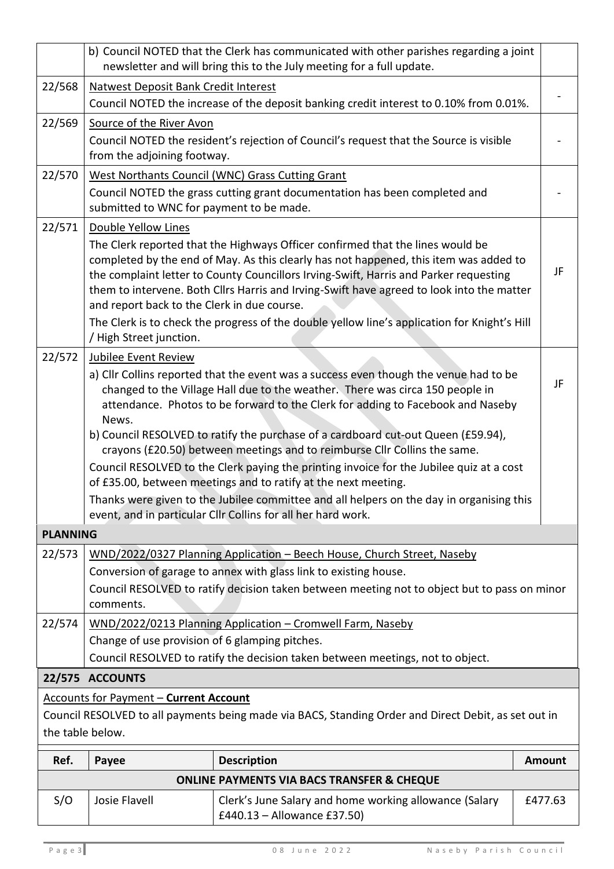|                                                                                                                                                                           | b) Council NOTED that the Clerk has communicated with other parishes regarding a joint<br>newsletter and will bring this to the July meeting for a full update.                                                                                                                                                                                                                                                                                                                                                                                                                                                                                                                                                                                                                                     |                                                                                                                                                                                                                                                                                                                                                                                                                                                               |               |  |  |  |
|---------------------------------------------------------------------------------------------------------------------------------------------------------------------------|-----------------------------------------------------------------------------------------------------------------------------------------------------------------------------------------------------------------------------------------------------------------------------------------------------------------------------------------------------------------------------------------------------------------------------------------------------------------------------------------------------------------------------------------------------------------------------------------------------------------------------------------------------------------------------------------------------------------------------------------------------------------------------------------------------|---------------------------------------------------------------------------------------------------------------------------------------------------------------------------------------------------------------------------------------------------------------------------------------------------------------------------------------------------------------------------------------------------------------------------------------------------------------|---------------|--|--|--|
| 22/568                                                                                                                                                                    | <b>Natwest Deposit Bank Credit Interest</b>                                                                                                                                                                                                                                                                                                                                                                                                                                                                                                                                                                                                                                                                                                                                                         |                                                                                                                                                                                                                                                                                                                                                                                                                                                               |               |  |  |  |
|                                                                                                                                                                           | Council NOTED the increase of the deposit banking credit interest to 0.10% from 0.01%.                                                                                                                                                                                                                                                                                                                                                                                                                                                                                                                                                                                                                                                                                                              |                                                                                                                                                                                                                                                                                                                                                                                                                                                               |               |  |  |  |
| 22/569                                                                                                                                                                    | Source of the River Avon<br>Council NOTED the resident's rejection of Council's request that the Source is visible<br>from the adjoining footway.                                                                                                                                                                                                                                                                                                                                                                                                                                                                                                                                                                                                                                                   |                                                                                                                                                                                                                                                                                                                                                                                                                                                               |               |  |  |  |
| 22/570                                                                                                                                                                    | West Northants Council (WNC) Grass Cutting Grant<br>Council NOTED the grass cutting grant documentation has been completed and<br>submitted to WNC for payment to be made.                                                                                                                                                                                                                                                                                                                                                                                                                                                                                                                                                                                                                          |                                                                                                                                                                                                                                                                                                                                                                                                                                                               |               |  |  |  |
| 22/571                                                                                                                                                                    | Double Yellow Lines<br>and report back to the Clerk in due course.<br>/ High Street junction.                                                                                                                                                                                                                                                                                                                                                                                                                                                                                                                                                                                                                                                                                                       | The Clerk reported that the Highways Officer confirmed that the lines would be<br>completed by the end of May. As this clearly has not happened, this item was added to<br>the complaint letter to County Councillors Irving-Swift, Harris and Parker requesting<br>them to intervene. Both Cllrs Harris and Irving-Swift have agreed to look into the matter<br>The Clerk is to check the progress of the double yellow line's application for Knight's Hill | JF            |  |  |  |
| 22/572                                                                                                                                                                    | <b>Jubilee Event Review</b><br>a) Cllr Collins reported that the event was a success even though the venue had to be<br>JF<br>changed to the Village Hall due to the weather. There was circa 150 people in<br>attendance. Photos to be forward to the Clerk for adding to Facebook and Naseby<br>News.<br>b) Council RESOLVED to ratify the purchase of a cardboard cut-out Queen (£59.94),<br>crayons (£20.50) between meetings and to reimburse Cllr Collins the same.<br>Council RESOLVED to the Clerk paying the printing invoice for the Jubilee quiz at a cost<br>of £35.00, between meetings and to ratify at the next meeting.<br>Thanks were given to the Jubilee committee and all helpers on the day in organising this<br>event, and in particular Cllr Collins for all her hard work. |                                                                                                                                                                                                                                                                                                                                                                                                                                                               |               |  |  |  |
| <b>PLANNING</b>                                                                                                                                                           |                                                                                                                                                                                                                                                                                                                                                                                                                                                                                                                                                                                                                                                                                                                                                                                                     |                                                                                                                                                                                                                                                                                                                                                                                                                                                               |               |  |  |  |
| 22/573                                                                                                                                                                    |                                                                                                                                                                                                                                                                                                                                                                                                                                                                                                                                                                                                                                                                                                                                                                                                     | WND/2022/0327 Planning Application - Beech House, Church Street, Naseby                                                                                                                                                                                                                                                                                                                                                                                       |               |  |  |  |
|                                                                                                                                                                           | Conversion of garage to annex with glass link to existing house.<br>Council RESOLVED to ratify decision taken between meeting not to object but to pass on minor<br>comments.                                                                                                                                                                                                                                                                                                                                                                                                                                                                                                                                                                                                                       |                                                                                                                                                                                                                                                                                                                                                                                                                                                               |               |  |  |  |
| 22/574                                                                                                                                                                    | WND/2022/0213 Planning Application - Cromwell Farm, Naseby<br>Change of use provision of 6 glamping pitches.<br>Council RESOLVED to ratify the decision taken between meetings, not to object.                                                                                                                                                                                                                                                                                                                                                                                                                                                                                                                                                                                                      |                                                                                                                                                                                                                                                                                                                                                                                                                                                               |               |  |  |  |
|                                                                                                                                                                           | 22/575 ACCOUNTS                                                                                                                                                                                                                                                                                                                                                                                                                                                                                                                                                                                                                                                                                                                                                                                     |                                                                                                                                                                                                                                                                                                                                                                                                                                                               |               |  |  |  |
| <b>Accounts for Payment - Current Account</b><br>Council RESOLVED to all payments being made via BACS, Standing Order and Direct Debit, as set out in<br>the table below. |                                                                                                                                                                                                                                                                                                                                                                                                                                                                                                                                                                                                                                                                                                                                                                                                     |                                                                                                                                                                                                                                                                                                                                                                                                                                                               |               |  |  |  |
| Ref.                                                                                                                                                                      | Payee                                                                                                                                                                                                                                                                                                                                                                                                                                                                                                                                                                                                                                                                                                                                                                                               | <b>Description</b>                                                                                                                                                                                                                                                                                                                                                                                                                                            | <b>Amount</b> |  |  |  |
| <b>ONLINE PAYMENTS VIA BACS TRANSFER &amp; CHEQUE</b>                                                                                                                     |                                                                                                                                                                                                                                                                                                                                                                                                                                                                                                                                                                                                                                                                                                                                                                                                     |                                                                                                                                                                                                                                                                                                                                                                                                                                                               |               |  |  |  |
| S/O                                                                                                                                                                       | Josie Flavell                                                                                                                                                                                                                                                                                                                                                                                                                                                                                                                                                                                                                                                                                                                                                                                       | Clerk's June Salary and home working allowance (Salary<br>£440.13 - Allowance £37.50)                                                                                                                                                                                                                                                                                                                                                                         | £477.63       |  |  |  |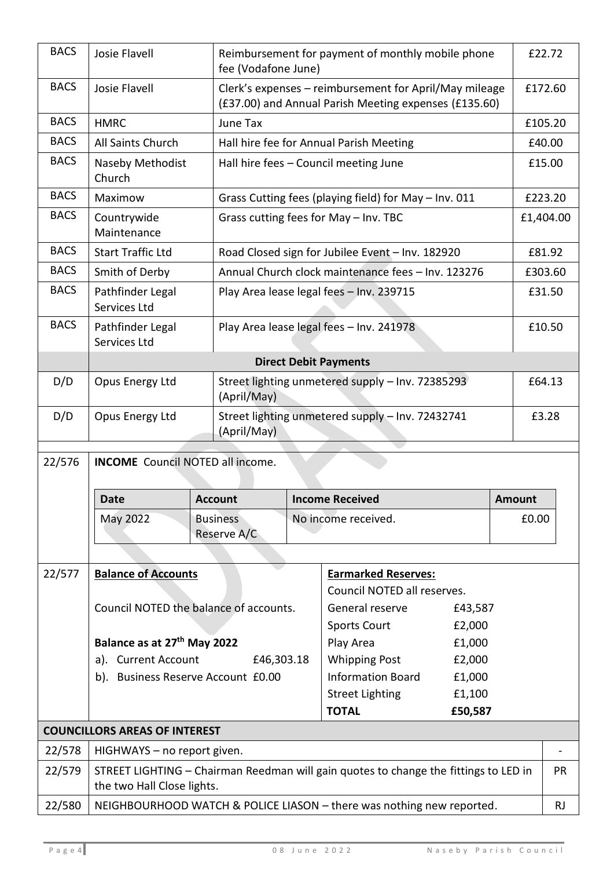| <b>BACS</b> | Josie Flavell                                                                                                      |                                | Reimbursement for payment of monthly mobile phone<br>fee (Vodafone June)                                        |                                                       |                             |               | £22.72    |  |  |
|-------------|--------------------------------------------------------------------------------------------------------------------|--------------------------------|-----------------------------------------------------------------------------------------------------------------|-------------------------------------------------------|-----------------------------|---------------|-----------|--|--|
| <b>BACS</b> | Josie Flavell                                                                                                      |                                | Clerk's expenses - reimbursement for April/May mileage<br>(£37.00) and Annual Parish Meeting expenses (£135.60) |                                                       |                             |               | £172.60   |  |  |
| <b>BACS</b> | <b>HMRC</b>                                                                                                        | June Tax                       |                                                                                                                 |                                                       |                             |               | £105.20   |  |  |
| <b>BACS</b> | All Saints Church<br>Hall hire fee for Annual Parish Meeting                                                       |                                |                                                                                                                 |                                                       |                             |               | £40.00    |  |  |
| <b>BACS</b> | Naseby Methodist<br>Church                                                                                         |                                | Hall hire fees - Council meeting June                                                                           |                                                       |                             |               | £15.00    |  |  |
| <b>BACS</b> | Maximow                                                                                                            |                                |                                                                                                                 | Grass Cutting fees (playing field) for May - Inv. 011 |                             |               | £223.20   |  |  |
| <b>BACS</b> | Countrywide<br>Grass cutting fees for May - Inv. TBC<br>Maintenance                                                |                                |                                                                                                                 |                                                       |                             |               | £1,404.00 |  |  |
| <b>BACS</b> | <b>Start Traffic Ltd</b>                                                                                           |                                | Road Closed sign for Jubilee Event - Inv. 182920                                                                |                                                       |                             |               | £81.92    |  |  |
| <b>BACS</b> | Smith of Derby                                                                                                     |                                | Annual Church clock maintenance fees - Inv. 123276                                                              |                                                       |                             |               | £303.60   |  |  |
| <b>BACS</b> | Pathfinder Legal<br>Services Ltd                                                                                   |                                | Play Area lease legal fees - Inv. 239715                                                                        |                                                       |                             | £31.50        |           |  |  |
| <b>BACS</b> | Pathfinder Legal<br>Services Ltd                                                                                   |                                |                                                                                                                 | Play Area lease legal fees - Inv. 241978              |                             |               | £10.50    |  |  |
|             |                                                                                                                    |                                |                                                                                                                 | <b>Direct Debit Payments</b>                          |                             |               |           |  |  |
| D/D         | Opus Energy Ltd                                                                                                    | (April/May)                    | Street lighting unmetered supply - Inv. 72385293                                                                |                                                       |                             |               | £64.13    |  |  |
| D/D         | Opus Energy Ltd                                                                                                    | (April/May)                    | Street lighting unmetered supply - Inv. 72432741                                                                |                                                       |                             |               | £3.28     |  |  |
| 22/576      | <b>INCOME</b> Council NOTED all income.                                                                            |                                |                                                                                                                 |                                                       |                             |               |           |  |  |
|             |                                                                                                                    |                                |                                                                                                                 |                                                       |                             |               |           |  |  |
|             | <b>Date</b>                                                                                                        | <b>Account</b>                 |                                                                                                                 | <b>Income Received</b>                                |                             | <b>Amount</b> |           |  |  |
|             | May 2022                                                                                                           | <b>Business</b><br>Reserve A/C |                                                                                                                 | No income received.                                   |                             |               | £0.00     |  |  |
|             |                                                                                                                    |                                |                                                                                                                 |                                                       |                             |               |           |  |  |
| 22/577      | <b>Balance of Accounts</b>                                                                                         |                                |                                                                                                                 | <b>Earmarked Reserves:</b>                            |                             |               |           |  |  |
|             |                                                                                                                    |                                |                                                                                                                 |                                                       | Council NOTED all reserves. |               |           |  |  |
|             | Council NOTED the balance of accounts.                                                                             |                                |                                                                                                                 | General reserve<br>£43,587                            |                             |               |           |  |  |
|             |                                                                                                                    |                                |                                                                                                                 | <b>Sports Court</b>                                   | £2,000                      |               |           |  |  |
|             | Balance as at 27 <sup>th</sup> May 2022<br>a). Current Account<br>£46,303.18                                       |                                |                                                                                                                 | Play Area<br><b>Whipping Post</b>                     | £1,000<br>£2,000            |               |           |  |  |
|             | b). Business Reserve Account £0.00                                                                                 |                                |                                                                                                                 | <b>Information Board</b>                              | £1,000                      |               |           |  |  |
|             |                                                                                                                    |                                |                                                                                                                 | <b>Street Lighting</b>                                | £1,100                      |               |           |  |  |
|             |                                                                                                                    |                                | <b>TOTAL</b>                                                                                                    |                                                       |                             |               |           |  |  |
|             | <b>COUNCILLORS AREAS OF INTEREST</b>                                                                               |                                |                                                                                                                 |                                                       |                             |               |           |  |  |
| 22/578      | HIGHWAYS - no report given.                                                                                        |                                |                                                                                                                 |                                                       |                             |               |           |  |  |
| 22/579      | STREET LIGHTING - Chairman Reedman will gain quotes to change the fittings to LED in<br>the two Hall Close lights. |                                |                                                                                                                 |                                                       |                             | <b>PR</b>     |           |  |  |
| 22/580      | NEIGHBOURHOOD WATCH & POLICE LIASON - there was nothing new reported.                                              |                                |                                                                                                                 |                                                       |                             | <b>RJ</b>     |           |  |  |